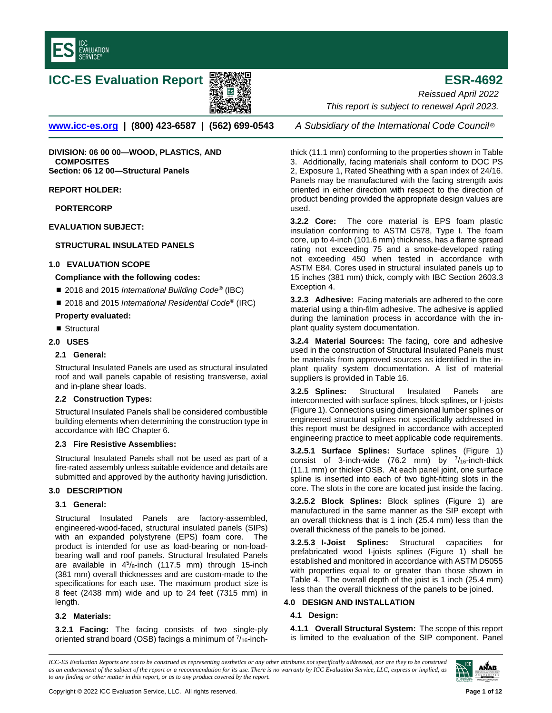

# **ICC-ES Evaluation Report ESR-4692**



**[www.icc-es.org](http://www.icc-es.org/) | (800) 423-6587 | (562) 699-0543** *A Subsidiary of the International Code Council* ®

**DIVISION: 06 00 00—WOOD, PLASTICS, AND COMPOSITES Section: 06 12 00—Structural Panels**

**REPORT HOLDER:**

**PORTERCORP**

**EVALUATION SUBJECT:** 

# **STRUCTURAL INSULATED PANELS**

## **1.0 EVALUATION SCOPE**

## **Compliance with the following codes:**

- 2018 and 2015 *International Building Code<sup>®</sup>* (IBC)
- 2018 and 2015 *International Residential Code<sup>®</sup>* (IRC)

# **Property evaluated:**

■ Structural

## **2.0 USES**

## **2.1 General:**

Structural Insulated Panels are used as structural insulated roof and wall panels capable of resisting transverse, axial and in-plane shear loads.

# **2.2 Construction Types:**

Structural Insulated Panels shall be considered combustible building elements when determining the construction type in accordance with IBC Chapter 6.

### **2.3 Fire Resistive Assemblies:**

Structural Insulated Panels shall not be used as part of a fire-rated assembly unless suitable evidence and details are submitted and approved by the authority having jurisdiction.

# **3.0 DESCRIPTION**

## **3.1 General:**

Structural Insulated Panels are factory-assembled, engineered-wood-faced, structural insulated panels (SIPs) with an expanded polystyrene (EPS) foam core. The product is intended for use as load-bearing or non-loadbearing wall and roof panels. Structural Insulated Panels are available in  $4^5$ /8-inch (117.5 mm) through 15-inch (381 mm) overall thicknesses and are custom-made to the specifications for each use. The maximum product size is 8 feet (2438 mm) wide and up to 24 feet (7315 mm) in length.

# **3.2 Materials:**

**3.2.1 Facing:** The facing consists of two single-ply oriented strand board (OSB) facings a minimum of  $\frac{7}{16}$ -inch-

*Reissued April 2022 This report is subject to renewal April 2023.* 

thick (11.1 mm) conforming to the properties shown in Table 3. Additionally, facing materials shall conform to DOC PS 2, Exposure 1, Rated Sheathing with a span index of 24/16. Panels may be manufactured with the facing strength axis oriented in either direction with respect to the direction of product bending provided the appropriate design values are used.

**3.2.2 Core:** The core material is EPS foam plastic insulation conforming to ASTM C578, Type I. The foam core, up to 4-inch (101.6 mm) thickness, has a flame spread rating not exceeding 75 and a smoke-developed rating not exceeding 450 when tested in accordance with ASTM E84. Cores used in structural insulated panels up to 15 inches (381 mm) thick, comply with IBC Section 2603.3 Exception 4.

**3.2.3 Adhesive:** Facing materials are adhered to the core material using a thin-film adhesive. The adhesive is applied during the lamination process in accordance with the inplant quality system documentation.

**3.2.4 Material Sources:** The facing, core and adhesive used in the construction of Structural Insulated Panels must be materials from approved sources as identified in the inplant quality system documentation. A list of material suppliers is provided in Table 16.

**3.2.5 Splines:** Structural Insulated Panels are interconnected with surface splines, block splines, or I-joists (Figure 1). Connections using dimensional lumber splines or engineered structural splines not specifically addressed in this report must be designed in accordance with accepted engineering practice to meet applicable code requirements.

**3.2.5.1 Surface Splines:** Surface splines (Figure 1) consist of 3-inch-wide (76.2 mm) by  $^{7}/_{16}$ -inch-thick (11.1 mm) or thicker OSB. At each panel joint, one surface spline is inserted into each of two tight-fitting slots in the core. The slots in the core are located just inside the facing.

**3.2.5.2 Block Splines:** Block splines (Figure 1) are manufactured in the same manner as the SIP except with an overall thickness that is 1 inch (25.4 mm) less than the overall thickness of the panels to be joined.

**3.2.5.3 I-Joist Splines:** Structural capacities for prefabricated wood I-joists splines (Figure 1) shall be established and monitored in accordance with ASTM D5055 with properties equal to or greater than those shown in Table 4. The overall depth of the joist is 1 inch (25.4 mm) less than the overall thickness of the panels to be joined.

# **4.0 DESIGN AND INSTALLATION**

# **4.1 Design:**

**4.1.1 Overall Structural System:** The scope of this report is limited to the evaluation of the SIP component. Panel

*ICC-ES Evaluation Reports are not to be construed as representing aesthetics or any other attributes not specifically addressed, nor are they to be construed as an endorsement of the subject of the report or a recommendation for its use. There is no warranty by ICC Evaluation Service, LLC, express or implied, as to any finding or other matter in this report, or as to any product covered by the report.*

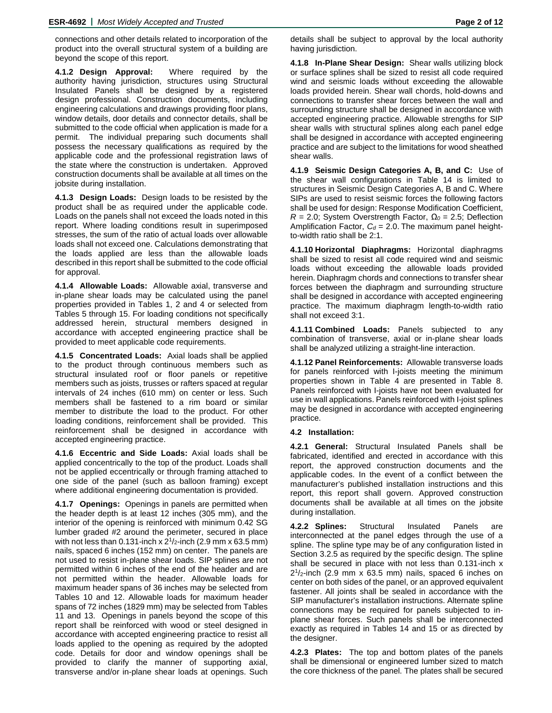connections and other details related to incorporation of the product into the overall structural system of a building are beyond the scope of this report.

**4.1.2 Design Approval:** Where required by the authority having jurisdiction, structures using Structural Insulated Panels shall be designed by a registered design professional. Construction documents, including engineering calculations and drawings providing floor plans, window details, door details and connector details, shall be submitted to the code official when application is made for a permit. The individual preparing such documents shall possess the necessary qualifications as required by the applicable code and the professional registration laws of the state where the construction is undertaken. Approved construction documents shall be available at all times on the jobsite during installation.

**4.1.3 Design Loads:** Design loads to be resisted by the product shall be as required under the applicable code. Loads on the panels shall not exceed the loads noted in this report. Where loading conditions result in superimposed stresses, the sum of the ratio of actual loads over allowable loads shall not exceed one. Calculations demonstrating that the loads applied are less than the allowable loads described in this report shall be submitted to the code official for approval.

**4.1.4 Allowable Loads:** Allowable axial, transverse and in-plane shear loads may be calculated using the panel properties provided in Tables 1, 2 and 4 or selected from Tables 5 through 15. For loading conditions not specifically addressed herein, structural members designed in accordance with accepted engineering practice shall be provided to meet applicable code requirements.

**4.1.5 Concentrated Loads:** Axial loads shall be applied to the product through continuous members such as structural insulated roof or floor panels or repetitive members such as joists, trusses or rafters spaced at regular intervals of 24 inches (610 mm) on center or less. Such members shall be fastened to a rim board or similar member to distribute the load to the product. For other loading conditions, reinforcement shall be provided. This reinforcement shall be designed in accordance with accepted engineering practice.

**4.1.6 Eccentric and Side Loads:** Axial loads shall be applied concentrically to the top of the product. Loads shall not be applied eccentrically or through framing attached to one side of the panel (such as balloon framing) except where additional engineering documentation is provided.

**4.1.7 Openings:** Openings in panels are permitted when the header depth is at least 12 inches (305 mm), and the interior of the opening is reinforced with minimum 0.42 SG lumber graded #2 around the perimeter, secured in place with not less than 0.131-inch x  $2^{1}/2$ -inch (2.9 mm x 63.5 mm) nails, spaced 6 inches (152 mm) on center. The panels are not used to resist in-plane shear loads. SIP splines are not permitted within 6 inches of the end of the header and are not permitted within the header. Allowable loads for maximum header spans of 36 inches may be selected from Tables 10 and 12. Allowable loads for maximum header spans of 72 inches (1829 mm) may be selected from Tables 11 and 13. Openings in panels beyond the scope of this report shall be reinforced with wood or steel designed in accordance with accepted engineering practice to resist all loads applied to the opening as required by the adopted code. Details for door and window openings shall be provided to clarify the manner of supporting axial, transverse and/or in-plane shear loads at openings. Such

**4.1.8 In-Plane Shear Design:** Shear walls utilizing block or surface splines shall be sized to resist all code required wind and seismic loads without exceeding the allowable loads provided herein. Shear wall chords, hold-downs and connections to transfer shear forces between the wall and surrounding structure shall be designed in accordance with accepted engineering practice. Allowable strengths for SIP shear walls with structural splines along each panel edge shall be designed in accordance with accepted engineering practice and are subject to the limitations for wood sheathed shear walls.

**4.1.9 Seismic Design Categories A, B, and C:** Use of the shear wall configurations in Table 14 is limited to structures in Seismic Design Categories A, B and C. Where SIPs are used to resist seismic forces the following factors shall be used for design: Response Modification Coefficient, *R* = 2.0; System Overstrength Factor, *Ω<sup>0</sup>* = 2.5; Deflection Amplification Factor,  $C_d = 2.0$ . The maximum panel heightto-width ratio shall be 2:1.

**4.1.10 Horizontal Diaphragms:** Horizontal diaphragms shall be sized to resist all code required wind and seismic loads without exceeding the allowable loads provided herein. Diaphragm chords and connections to transfer shear forces between the diaphragm and surrounding structure shall be designed in accordance with accepted engineering practice. The maximum diaphragm length-to-width ratio shall not exceed 3:1.

**4.1.11 Combined Loads:** Panels subjected to any combination of transverse, axial or in-plane shear loads shall be analyzed utilizing a straight-line interaction.

**4.1.12 Panel Reinforcements:** Allowable transverse loads for panels reinforced with I-joists meeting the minimum properties shown in Table 4 are presented in Table 8. Panels reinforced with I-joists have not been evaluated for use in wall applications. Panels reinforced with I-joist splines may be designed in accordance with accepted engineering practice.

### **4.2 Installation:**

**4.2.1 General:** Structural Insulated Panels shall be fabricated, identified and erected in accordance with this report, the approved construction documents and the applicable codes. In the event of a conflict between the manufacturer's published installation instructions and this report, this report shall govern. Approved construction documents shall be available at all times on the jobsite during installation.

**4.2.2 Splines:** Structural Insulated Panels are interconnected at the panel edges through the use of a spline. The spline type may be of any configuration listed in Section 3.2.5 as required by the specific design. The spline shall be secured in place with not less than 0.131-inch x  $2^{1}/2$ -inch (2.9 mm x 63.5 mm) nails, spaced 6 inches on center on both sides of the panel, or an approved equivalent fastener. All joints shall be sealed in accordance with the SIP manufacturer's installation instructions. Alternate spline connections may be required for panels subjected to inplane shear forces. Such panels shall be interconnected exactly as required in Tables 14 and 15 or as directed by the designer.

**4.2.3 Plates:** The top and bottom plates of the panels shall be dimensional or engineered lumber sized to match the core thickness of the panel. The plates shall be secured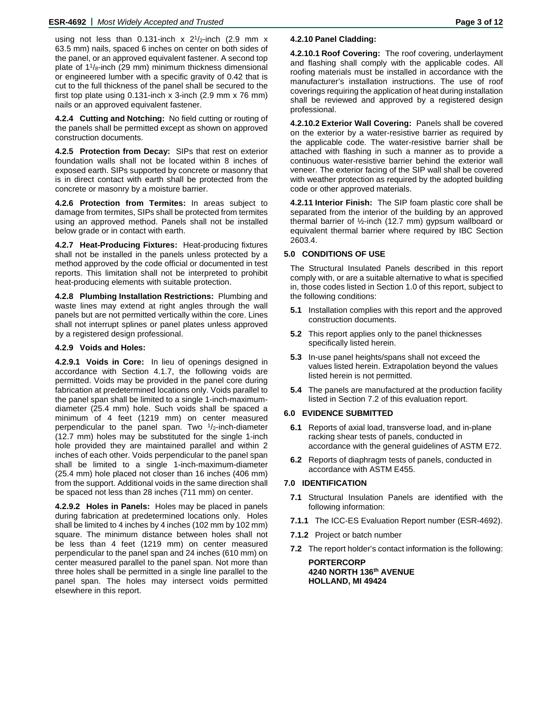using not less than 0.131-inch  $x$  2<sup>1</sup>/<sub>2</sub>-inch (2.9 mm  $x$ 63.5 mm) nails, spaced 6 inches on center on both sides of the panel, or an approved equivalent fastener. A second top plate of  $1\frac{1}{8}$ -inch (29 mm) minimum thickness dimensional or engineered lumber with a specific gravity of 0.42 that is cut to the full thickness of the panel shall be secured to the first top plate using  $0.131$ -inch x 3-inch  $(2.9 \text{ mm} \times 76 \text{ mm})$ nails or an approved equivalent fastener.

**4.2.4 Cutting and Notching:** No field cutting or routing of the panels shall be permitted except as shown on approved construction documents.

**4.2.5 Protection from Decay:** SIPs that rest on exterior foundation walls shall not be located within 8 inches of exposed earth. SIPs supported by concrete or masonry that is in direct contact with earth shall be protected from the concrete or masonry by a moisture barrier.

**4.2.6 Protection from Termites:** In areas subject to damage from termites, SIPs shall be protected from termites using an approved method. Panels shall not be installed below grade or in contact with earth.

**4.2.7 Heat-Producing Fixtures:** Heat-producing fixtures shall not be installed in the panels unless protected by a method approved by the code official or documented in test reports. This limitation shall not be interpreted to prohibit heat-producing elements with suitable protection.

**4.2.8 Plumbing Installation Restrictions:** Plumbing and waste lines may extend at right angles through the wall panels but are not permitted vertically within the core. Lines shall not interrupt splines or panel plates unless approved by a registered design professional.

### **4.2.9 Voids and Holes:**

**4.2.9.1 Voids in Core:** In lieu of openings designed in accordance with Section 4.1.7, the following voids are permitted. Voids may be provided in the panel core during fabrication at predetermined locations only. Voids parallel to the panel span shall be limited to a single 1-inch-maximumdiameter (25.4 mm) hole. Such voids shall be spaced a minimum of 4 feet (1219 mm) on center measured perpendicular to the panel span. Two  $\frac{1}{2}$ -inch-diameter (12.7 mm) holes may be substituted for the single 1-inch hole provided they are maintained parallel and within 2 inches of each other. Voids perpendicular to the panel span shall be limited to a single 1-inch-maximum-diameter (25.4 mm) hole placed not closer than 16 inches (406 mm) from the support. Additional voids in the same direction shall be spaced not less than 28 inches (711 mm) on center.

**4.2.9.2 Holes in Panels:** Holes may be placed in panels during fabrication at predetermined locations only. Holes shall be limited to 4 inches by 4 inches (102 mm by 102 mm) square. The minimum distance between holes shall not be less than 4 feet (1219 mm) on center measured perpendicular to the panel span and 24 inches (610 mm) on center measured parallel to the panel span. Not more than three holes shall be permitted in a single line parallel to the panel span. The holes may intersect voids permitted elsewhere in this report.

### **4.2.10 Panel Cladding:**

**4.2.10.1 Roof Covering:** The roof covering, underlayment and flashing shall comply with the applicable codes. All roofing materials must be installed in accordance with the manufacturer's installation instructions. The use of roof coverings requiring the application of heat during installation shall be reviewed and approved by a registered design professional.

**4.2.10.2 Exterior Wall Covering:** Panels shall be covered on the exterior by a water-resistive barrier as required by the applicable code. The water-resistive barrier shall be attached with flashing in such a manner as to provide a continuous water-resistive barrier behind the exterior wall veneer. The exterior facing of the SIP wall shall be covered with weather protection as required by the adopted building code or other approved materials.

**4.2.11 Interior Finish:** The SIP foam plastic core shall be separated from the interior of the building by an approved thermal barrier of ½-inch (12.7 mm) gypsum wallboard or equivalent thermal barrier where required by IBC Section 2603.4.

### **5.0 CONDITIONS OF USE**

The Structural Insulated Panels described in this report comply with, or are a suitable alternative to what is specified in, those codes listed in Section 1.0 of this report, subject to the following conditions:

- **5.1** Installation complies with this report and the approved construction documents.
- **5.2** This report applies only to the panel thicknesses specifically listed herein.
- **5.3** In-use panel heights/spans shall not exceed the values listed herein. Extrapolation beyond the values listed herein is not permitted.
- **5.4** The panels are manufactured at the production facility listed in Section 7.2 of this evaluation report.

#### **6.0 EVIDENCE SUBMITTED**

- **6.1** Reports of axial load, transverse load, and in-plane racking shear tests of panels, conducted in accordance with the general guidelines of ASTM E72.
- **6.2** Reports of diaphragm tests of panels, conducted in accordance with ASTM E455.

# **7.0 IDENTIFICATION**

- **7.1** Structural Insulation Panels are identified with the following information:
- **7.1.1** The ICC-ES Evaluation Report number (ESR-4692).
- **7.1.2** Project or batch number
- **7.2** The report holder's contact information is the following:

**PORTERCORP 4240 NORTH 136th AVENUE HOLLAND, MI 49424**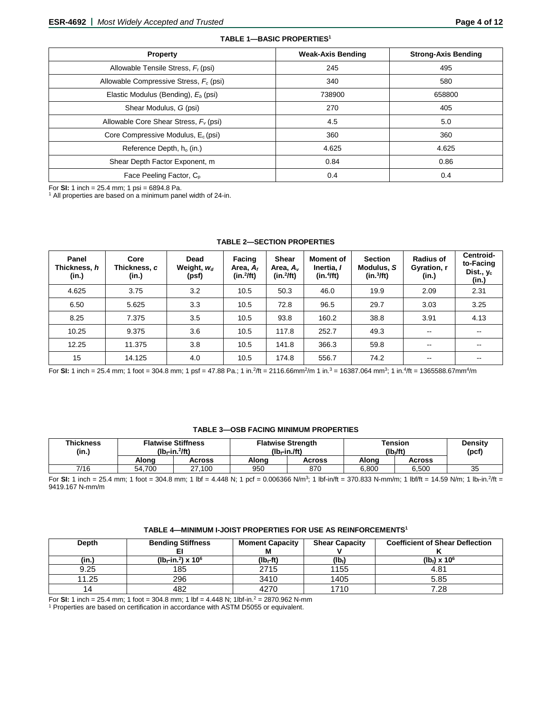| Property                                        | <b>Weak-Axis Bending</b> | <b>Strong-Axis Bending</b> |
|-------------------------------------------------|--------------------------|----------------------------|
| Allowable Tensile Stress, $F_t$ (psi)           | 245                      | 495                        |
| Allowable Compressive Stress, $F_c$ (psi)       | 340                      | 580                        |
| Elastic Modulus (Bending), E <sub>b</sub> (psi) | 738900                   | 658800                     |
| Shear Modulus, G (psi)                          | 270                      | 405                        |
| Allowable Core Shear Stress, $F_v$ (psi)        | 4.5                      | 5.0                        |
| Core Compressive Modulus, $E_c$ (psi)           | 360                      | 360                        |
| Reference Depth, $h_0$ (in.)                    | 4.625                    | 4.625                      |
| Shear Depth Factor Exponent, m                  | 0.84                     | 0.86                       |
| Face Peeling Factor, C <sub>p</sub>             | 0.4                      | 0.4                        |

**TABLE 1—BASIC PROPERTIES1**

For **SI:** 1 inch = 25.4 mm; 1 psi = 6894.8 Pa.<br><sup>1</sup> All properties are based on a minimum panel width of 24-in.

| Panel<br>Thickness, h<br>(in.) | Core<br>Thickness, c<br>(in.) | Dead<br>Weight, $w_d$<br>(psf) | Facing<br>Area, $A_f$<br>$(in.^2fft)$ | <b>Shear</b><br>Area, A <sub>v</sub><br>$(in.^2/ft)$ | <b>Moment of</b><br>Inertia, I<br>(in.4ft) | <b>Section</b><br>Modulus, S<br>(in.3ft) | <b>Radius of</b><br>Gyration, r<br>(in.) | Centroid-<br>to-Facing<br>Dist., y <sub>c</sub><br>(in.) |
|--------------------------------|-------------------------------|--------------------------------|---------------------------------------|------------------------------------------------------|--------------------------------------------|------------------------------------------|------------------------------------------|----------------------------------------------------------|
| 4.625                          | 3.75                          | 3.2                            | 10.5                                  | 50.3                                                 | 46.0                                       | 19.9                                     | 2.09                                     | 2.31                                                     |
| 6.50                           | 5.625                         | 3.3                            | 10.5                                  | 72.8                                                 | 96.5                                       | 29.7                                     | 3.03                                     | 3.25                                                     |
| 8.25                           | 7.375                         | 3.5                            | 10.5                                  | 93.8                                                 | 160.2                                      | 38.8                                     | 3.91                                     | 4.13                                                     |
| 10.25                          | 9.375                         | 3.6                            | 10.5                                  | 117.8                                                | 252.7                                      | 49.3                                     | $\sim$ $\sim$                            | $\sim$                                                   |
| 12.25                          | 11.375                        | 3.8                            | 10.5                                  | 141.8                                                | 366.3                                      | 59.8                                     | $\sim$                                   | $\sim$                                                   |
| 15                             | 14.125                        | 4.0                            | 10.5                                  | 174.8                                                | 556.7                                      | 74.2                                     | $\overline{\phantom{m}}$                 | --                                                       |

### **TABLE 2—SECTION PROPERTIES**

For SI: 1 inch = 25.4 mm; 1 foot = 304.8 mm; 1 psf = 47.88 Pa.; 1 in.<sup>2</sup>/ft = 2116.66mm<sup>2</sup>/m 1 in.<sup>3</sup> = 16387.064 mm<sup>3</sup>; 1 in.<sup>4</sup>/ft = 1365588.67mm<sup>4</sup>/m

### **TABLE 3—OSB FACING MINIMUM PROPERTIES**

| <b>Thickness</b><br>(in.) | <b>Flatwise Stiffness</b><br>$(Ib-fin.^2$ ft) |        |       | <b>Flatwise Strength</b><br>$(Ib - in$ /ft) | Tension<br>(lb./ft) | Densitv<br>(pcf) |    |
|---------------------------|-----------------------------------------------|--------|-------|---------------------------------------------|---------------------|------------------|----|
|                           | Alona                                         | Across | Alona | Across                                      | Alona               | Across           |    |
| 7/16                      | 54.700                                        | 27.100 | 950   | 870                                         | 6.800               | 6.500            | 35 |

For **SI:** 1 inch = 25.4 mm; 1 foot = 304.8 mm; 1 lbf = 4.448 N; 1 pcf = 0.006366 N/m<sup>3</sup>; 1 lbf-in/ft = 370.833 N-mm/m; 1 lbf/ft = 14.59 N/m; 1 lb<sub>f</sub>-in.<sup>2</sup>/ft = 9419.167 N-mm/m

### **TABLE 4—MINIMUM I-JOIST PROPERTIES FOR USE AS REINFORCEMENTS1**

| Depth | <b>Bending Stiffness</b>           | <b>Moment Capacity</b> | <b>Shear Capacity</b> | <b>Coefficient of Shear Deflection</b> |
|-------|------------------------------------|------------------------|-----------------------|----------------------------------------|
|       |                                    | М                      |                       |                                        |
| (in.) | ( $10 - in.^2$ ) x 10 <sup>6</sup> | (lb←ft)                | (Ib)                  | $(lb_0) \times 10^6$                   |
| 9.25  | 185                                | 2715                   | 1155                  | 4.81                                   |
| 11.25 | 296                                | 3410                   | 1405                  | 5.85                                   |
| 14    | 482                                | 4270                   | 1710                  | 7.28                                   |

For **SI:** 1 inch = 25.4 mm; 1 foot = 304.8 mm; 1 lbf = 4.448 N; 1lbf-in.2 = 2870.962 N-mm

<sup>1</sup> Properties are based on certification in accordance with ASTM D5055 or equivalent.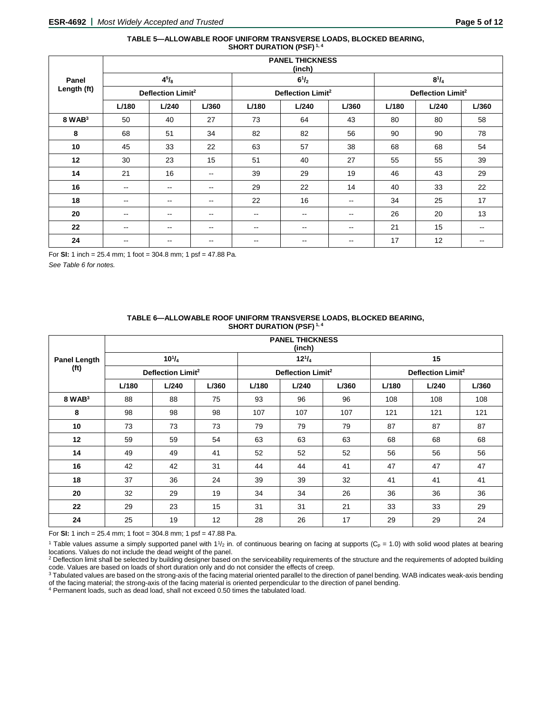### **TABLE 5—ALLOWABLE ROOF UNIFORM TRANSVERSE LOADS, BLOCKED BEARING, SHORT DURATION (PSF) 1, 4**

|                    |                               | <b>PANEL THICKNESS</b><br>(inch) |               |                          |                               |                          |              |                               |                          |  |  |  |
|--------------------|-------------------------------|----------------------------------|---------------|--------------------------|-------------------------------|--------------------------|--------------|-------------------------------|--------------------------|--|--|--|
| Panel              |                               | $4^{5}/_{8}$                     |               |                          | $6^{1}/_{2}$                  |                          | $8^{1}/_{4}$ |                               |                          |  |  |  |
| Length (ft)        | Deflection Limit <sup>2</sup> |                                  |               |                          | Deflection Limit <sup>2</sup> |                          |              | Deflection Limit <sup>2</sup> |                          |  |  |  |
|                    | L/180                         | L/240                            | L/360         | L/180                    | L/240                         | L/360                    | L/180        | L/240                         | L/360                    |  |  |  |
| 8 WAB <sup>3</sup> | 50                            | 40                               | 27            | 73                       | 64                            | 43                       | 80           | 80                            | 58                       |  |  |  |
| 8                  | 68                            | 51                               | 34            | 82                       | 82                            | 56                       | 90           | 90                            | 78                       |  |  |  |
| 10                 | 45                            | 33                               | 22            | 63                       | 57                            | 38                       | 68           | 68                            | 54                       |  |  |  |
| 12                 | 30                            | 23                               | 15            | 51                       | 40                            | 27                       | 55           | 55                            | 39                       |  |  |  |
| 14                 | 21                            | 16                               | $\sim$        | 39                       | 29                            | 19                       | 46           | 43                            | 29                       |  |  |  |
| 16                 | $\sim$                        | --                               | $\sim$        | 29                       | 22                            | 14                       | 40           | 33                            | 22                       |  |  |  |
| 18                 | $\sim$ $\sim$                 | $\sim$ $\sim$                    | $\sim$ $\sim$ | 22                       | 16                            | $\overline{\phantom{a}}$ | 34           | 25                            | 17                       |  |  |  |
| 20                 | $\sim$ $\sim$                 | $\sim$ $\sim$                    | $\sim$ $\sim$ | $\overline{\phantom{a}}$ | $\overline{\phantom{m}}$      | $\sim$ $\sim$            | 26           | 20                            | 13                       |  |  |  |
| 22                 | $\sim$ $\sim$                 | --                               | $\sim$ $\sim$ | $\overline{\phantom{a}}$ | $\overline{\phantom{a}}$      | $\sim$ $\sim$            | 21           | 15                            | $\overline{\phantom{a}}$ |  |  |  |
| 24                 | $\overline{\phantom{m}}$      | --                               | --            | $\overline{\phantom{m}}$ | $\overline{\phantom{m}}$      | $- -$                    | 17           | 12                            | $\overline{\phantom{a}}$ |  |  |  |

For **SI:** 1 inch = 25.4 mm; 1 foot = 304.8 mm; 1 psf = 47.88 Pa.

*See Table 6 for notes.*

| TABLE 6-ALLOWABLE ROOF UNIFORM TRANSVERSE LOADS, BLOCKED BEARING, |
|-------------------------------------------------------------------|
| <b>SHORT DURATION (PSF)</b> <sup>1, 4</sup>                       |

|                     |                               | <b>PANEL THICKNESS</b><br>(inch) |       |       |                               |       |       |                               |       |  |  |  |  |
|---------------------|-------------------------------|----------------------------------|-------|-------|-------------------------------|-------|-------|-------------------------------|-------|--|--|--|--|
| <b>Panel Length</b> |                               | $10^{1}/_{4}$                    |       |       | $12^{1}/_{4}$                 |       | 15    |                               |       |  |  |  |  |
| (f <sup>t</sup> )   | Deflection Limit <sup>2</sup> |                                  |       |       | Deflection Limit <sup>2</sup> |       |       | Deflection Limit <sup>2</sup> |       |  |  |  |  |
|                     | L/180                         | L/240                            | L/360 | L/180 | L/240                         | L/360 | L/180 | L/240                         | L/360 |  |  |  |  |
| $8$ WAB $3$         | 88                            | 88                               | 75    | 93    | 96                            | 96    | 108   | 108                           | 108   |  |  |  |  |
| 8                   | 98                            | 98                               | 98    | 107   | 107                           | 107   | 121   | 121                           | 121   |  |  |  |  |
| 10                  | 73                            | 73                               | 73    | 79    | 79                            | 79    | 87    | 87                            | 87    |  |  |  |  |
| 12                  | 59                            | 59                               | 54    | 63    | 63                            | 63    | 68    | 68                            | 68    |  |  |  |  |
| 14                  | 49                            | 49                               | 41    | 52    | 52                            | 52    | 56    | 56                            | 56    |  |  |  |  |
| 16                  | 42                            | 42                               | 31    | 44    | 44                            | 41    | 47    | 47                            | 47    |  |  |  |  |
| 18                  | 37                            | 36                               | 24    | 39    | 39                            | 32    | 41    | 41                            | 41    |  |  |  |  |
| 20                  | 32                            | 29                               | 19    | 34    | 34                            | 26    | 36    | 36                            | 36    |  |  |  |  |
| 22                  | 29                            | 23                               | 15    | 31    | 31                            | 21    | 33    | 33                            | 29    |  |  |  |  |
| 24                  | 25                            | 19                               | 12    | 28    | 26                            | 17    | 29    | 29                            | 24    |  |  |  |  |

For **SI:** 1 inch = 25.4 mm; 1 foot = 304.8 mm; 1 psf = 47.88 Pa.

<sup>1</sup> Table values assume a simply supported panel with  $1\frac{1}{2}$  in. of continuous bearing on facing at supports (C<sub>p</sub> = 1.0) with solid wood plates at bearing locations. Values do not include the dead weight of the panel.

<sup>2</sup> Deflection limit shall be selected by building designer based on the serviceability requirements of the structure and the requirements of adopted building

code. Values are based on loads of short duration only and do not consider the effects of creep.<br><sup>3</sup> Tabulated values are based on the strong-axis of the facing material oriented parallel to the direction of panel bending. of the facing material; the strong-axis of the facing material is oriented perpendicular to the direction of panel bending.

<sup>4</sup> Permanent loads, such as dead load, shall not exceed 0.50 times the tabulated load.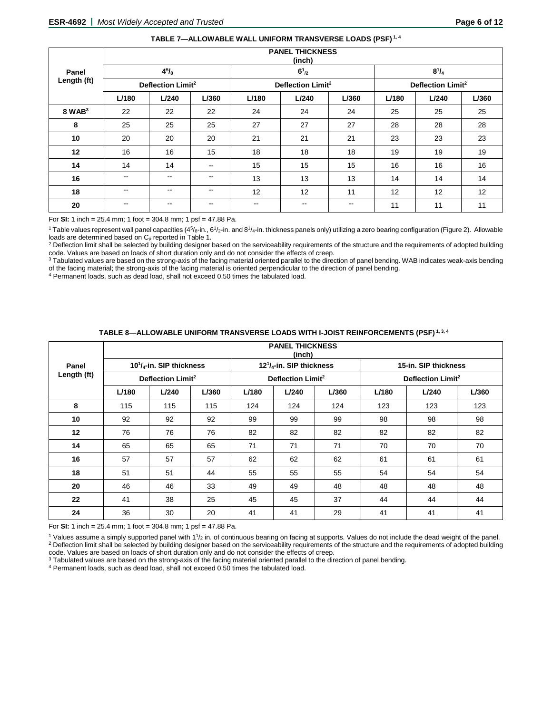| TABLE 7—ALLOWABLE WALL UNIFORM TRANSVERSE LOADS (PSF) <sup>1,4</sup> |
|----------------------------------------------------------------------|
|----------------------------------------------------------------------|

|             | <b>PANEL THICKNESS</b><br>(inch) |              |               |               |                               |                          |       |                               |       |  |  |
|-------------|----------------------------------|--------------|---------------|---------------|-------------------------------|--------------------------|-------|-------------------------------|-------|--|--|
| Panel       |                                  | $4^{5}/_{8}$ |               |               | $6^{1}_{2}$                   |                          |       | $8^{1}/_{4}$                  |       |  |  |
| Length (ft) | Deflection Limit <sup>2</sup>    |              |               |               | Deflection Limit <sup>2</sup> |                          |       | Deflection Limit <sup>2</sup> |       |  |  |
|             | L/180                            | L/240        | L/360         | L/180         | L/240                         | L/360                    | L/180 | L/240                         | L/360 |  |  |
| $8$ WAB $3$ | 22                               | 22           | 22            | 24            | 24                            | 24                       | 25    | 25                            | 25    |  |  |
| 8           | 25                               | 25           | 25            | 27            | 27                            | 27                       | 28    | 28                            | 28    |  |  |
| 10          | 20                               | 20           | 20            | 21            | 21                            | 21                       | 23    | 23                            | 23    |  |  |
| 12          | 16                               | 16           | 15            | 18            | 18                            | 18                       | 19    | 19                            | 19    |  |  |
| 14          | 14                               | 14           | $\sim$ $\sim$ | 15            | 15                            | 15                       | 16    | 16                            | 16    |  |  |
| 16          | $\qquad \qquad -$                | --           | $\sim$ $\sim$ | 13            | 13                            | 13                       | 14    | 14                            | 14    |  |  |
| 18          | $\sim$ $\sim$                    | --           | $- -$         | 12            | 12                            | 11                       | 12    | 12                            | 12    |  |  |
| 20          | $\sim$ $\sim$                    | $- -$        | $\sim$ $\sim$ | $\sim$ $\sim$ | $\qquad \qquad -$             | $\overline{\phantom{a}}$ | 11    | 11                            | 11    |  |  |

For **SI:** 1 inch = 25.4 mm; 1 foot = 304.8 mm; 1 psf = 47.88 Pa.

<sup>1</sup> Table values represent wall panel capacities (45/<sub>8</sub>-in., 61/<sub>2</sub>-in. and 81/<sub>4</sub>-in. thickness panels only) utilizing a zero bearing configuration (Figure 2). Allowable<br>loads are determined based on C<sub>p</sub> reported in Ta

<sup>2</sup> Deflection limit shall be selected by building designer based on the serviceability requirements of the structure and the requirements of adopted building code. Values are based on loads of short duration only and do not consider the effects of creep.

<sup>3</sup> Tabulated values are based on the strong-axis of the facing material oriented parallel to the direction of panel bending. WAB indicates weak-axis bending of the facing material; the strong-axis of the facing material is oriented perpendicular to the direction of panel bending.

<sup>4</sup> Permanent loads, such as dead load, shall not exceed 0.50 times the tabulated load.

|                   | <b>PANEL THICKNESS</b><br>(inch)          |       |       |       |                               |       |       |                               |       |  |  |  |
|-------------------|-------------------------------------------|-------|-------|-------|-------------------------------|-------|-------|-------------------------------|-------|--|--|--|
| Panel             | $10^{1}/$ <sub>4</sub> -in. SIP thickness |       |       |       | $121/4$ -in. SIP thickness    |       |       | 15-in. SIP thickness          |       |  |  |  |
| Length (ft)       | Deflection Limit <sup>2</sup>             |       |       |       | Deflection Limit <sup>2</sup> |       |       | Deflection Limit <sup>2</sup> |       |  |  |  |
|                   | L/180                                     | L/240 | L/360 | L/180 | L/240                         | L/360 | L/180 | L/240                         | L/360 |  |  |  |
| 8                 | 115                                       | 115   | 115   | 124   | 124                           | 124   | 123   | 123                           | 123   |  |  |  |
| 10                | 92                                        | 92    | 92    | 99    | 99                            | 99    | 98    | 98                            | 98    |  |  |  |
| $12 \overline{ }$ | 76                                        | 76    | 76    | 82    | 82                            | 82    | 82    | 82                            | 82    |  |  |  |
| 14                | 65                                        | 65    | 65    | 71    | 71                            | 71    | 70    | 70                            | 70    |  |  |  |
| 16                | 57                                        | 57    | 57    | 62    | 62                            | 62    | 61    | 61                            | 61    |  |  |  |
| 18                | 51                                        | 51    | 44    | 55    | 55                            | 55    | 54    | 54                            | 54    |  |  |  |
| 20                | 46                                        | 46    | 33    | 49    | 49                            | 48    | 48    | 48                            | 48    |  |  |  |
| 22                | 41                                        | 38    | 25    | 45    | 45                            | 37    | 44    | 44                            | 44    |  |  |  |
| 24                | 36                                        | 30    | 20    | 41    | 41                            | 29    | 41    | 41                            | 41    |  |  |  |

# **TABLE 8—ALLOWABLE UNIFORM TRANSVERSE LOADS WITH I-JOIST REINFORCEMENTS (PSF) 1, 3, 4**

For **SI:** 1 inch = 25.4 mm; 1 foot = 304.8 mm; 1 psf = 47.88 Pa.

<sup>1</sup> Values assume a simply supported panel with  $1\frac{1}{2}$  in. of continuous bearing on facing at supports. Values do not include the dead weight of the panel. <sup>2</sup> Deflection limit shall be selected by building designer based on the serviceability requirements of the structure and the requirements of adopted building code. Values are based on loads of short duration only and do not consider the effects of creep.

 $3$  Tabulated values are based on the strong-axis of the facing material oriented parallel to the direction of panel bending.

<sup>4</sup> Permanent loads, such as dead load, shall not exceed 0.50 times the tabulated load.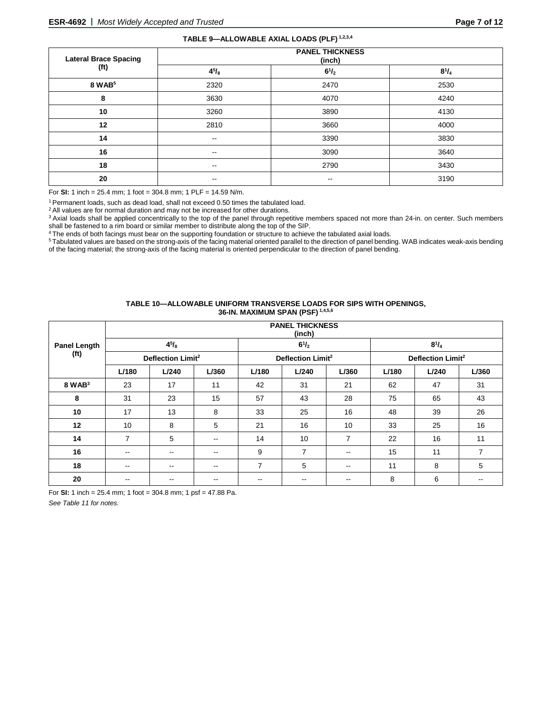## **TABLE 9—ALLOWABLE AXIAL LOADS (PLF) 1,2,3,4**

| <b>Lateral Brace Spacing</b> | <b>PANEL THICKNESS</b><br>(inch) |                          |              |  |  |  |  |  |
|------------------------------|----------------------------------|--------------------------|--------------|--|--|--|--|--|
| (ft)                         | $4^{5}/_{8}$                     | $6^{1}/_{2}$             | $8^{1}/_{4}$ |  |  |  |  |  |
| 8 WAB <sup>5</sup>           | 2320                             | 2470                     | 2530         |  |  |  |  |  |
| 8                            | 3630                             | 4070                     | 4240         |  |  |  |  |  |
| 10                           | 3260                             | 3890                     | 4130         |  |  |  |  |  |
| 12                           | 2810                             | 3660                     | 4000         |  |  |  |  |  |
| 14                           | $\sim$                           | 3390                     | 3830         |  |  |  |  |  |
| 16                           | $\sim$                           | 3090                     | 3640         |  |  |  |  |  |
| 18                           | $\sim$                           | 2790                     | 3430         |  |  |  |  |  |
| 20                           | $- -$                            | $\overline{\phantom{m}}$ | 3190         |  |  |  |  |  |

For **SI:** 1 inch = 25.4 mm; 1 foot = 304.8 mm; 1 PLF = 14.59 N/m.

1 Permanent loads, such as dead load, shall not exceed 0.50 times the tabulated load.

<sup>2</sup> All values are for normal duration and may not be increased for other durations.

<sup>3</sup> Axial loads shall be applied concentrically to the top of the panel through repetitive members spaced not more than 24-in. on center. Such members shall be fastened to a rim board or similar member to distribute along the top of the SIP.

4 The ends of both facings must bear on the supporting foundation or structure to achieve the tabulated axial loads.

<sup>5</sup> Tabulated values are based on the strong-axis of the facing material oriented parallel to the direction of panel bending. WAB indicates weak-axis bending of the facing material; the strong-axis of the facing material is oriented perpendicular to the direction of panel bending.

### **TABLE 10—ALLOWABLE UNIFORM TRANSVERSE LOADS FOR SIPS WITH OPENINGS, 36-IN. MAXIMUM SPAN (PSF) 1,4,5,6**

|                     | <b>PANEL THICKNESS</b><br>(inch) |                   |       |                          |                               |                          |       |                               |       |  |  |  |
|---------------------|----------------------------------|-------------------|-------|--------------------------|-------------------------------|--------------------------|-------|-------------------------------|-------|--|--|--|
| <b>Panel Length</b> |                                  | $4^{5}/_{8}$      |       |                          | $6^{1}/_{2}$                  |                          |       | $8^{1}/_{4}$                  |       |  |  |  |
| (f <sup>t</sup> )   | Deflection Limit <sup>2</sup>    |                   |       |                          | Deflection Limit <sup>2</sup> |                          |       | Deflection Limit <sup>2</sup> |       |  |  |  |
|                     | L/180                            | L/240             | L/360 | L/180                    | L/240                         | L/360                    | L/180 | L/240                         | L/360 |  |  |  |
| $8$ WAB $3$         | 23                               | 17                | 11    | 42                       | 31                            | 21                       | 62    | 47                            | 31    |  |  |  |
| 8                   | 31                               | 23                | 15    | 57                       | 43                            | 28                       | 75    | 65                            | 43    |  |  |  |
| 10                  | 17                               | 13                | 8     | 33                       | 25                            | 16                       | 48    | 39                            | 26    |  |  |  |
| 12                  | 10                               | 8                 | 5     | 21                       | 16                            | 10                       | 33    | 25                            | 16    |  |  |  |
| 14                  | $\overline{7}$                   | 5                 | $- -$ | 14                       | 10                            | 7                        | 22    | 16                            | 11    |  |  |  |
| 16                  | $- -$                            | $- -$             | --    | 9                        | $\overline{7}$                | $\overline{\phantom{a}}$ | 15    | 11                            | 7     |  |  |  |
| 18                  | $- -$                            | $\qquad \qquad -$ | $-$   | $\overline{7}$           | 5                             | $\sim$ $\sim$            | 11    | 8                             | 5     |  |  |  |
| 20                  | --                               |                   | $- -$ | $\overline{\phantom{m}}$ | $- -$                         | $\overline{\phantom{m}}$ | 8     | 6                             | --    |  |  |  |

For **SI:** 1 inch = 25.4 mm; 1 foot = 304.8 mm; 1 psf = 47.88 Pa.

*See Table 11 for notes.*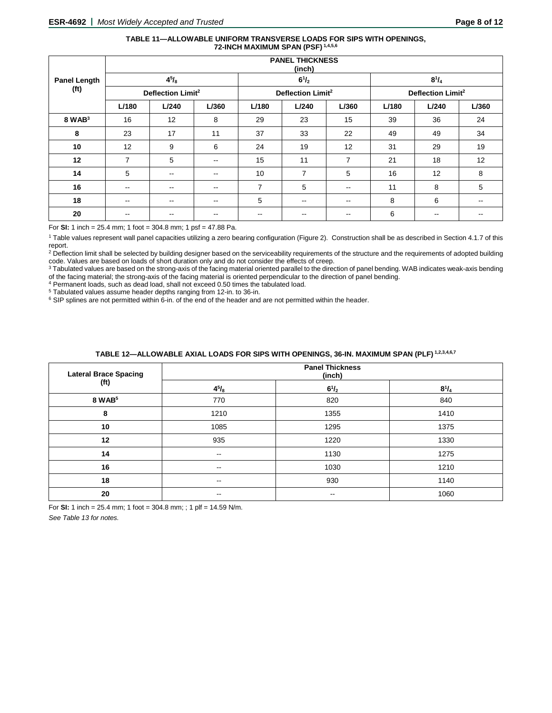### **TABLE 11—ALLOWABLE UNIFORM TRANSVERSE LOADS FOR SIPS WITH OPENINGS, 72-INCH MAXIMUM SPAN (PSF) 1,4,5,6**

|                                          | <b>PANEL THICKNESS</b><br>(inch) |                          |                               |       |                |                               |       |       |       |
|------------------------------------------|----------------------------------|--------------------------|-------------------------------|-------|----------------|-------------------------------|-------|-------|-------|
| <b>Panel Length</b><br>(f <sup>t</sup> ) | $4^{5}/_{8}$                     |                          | $6^{1}/_{2}$                  |       | $8^{1}/_{4}$   |                               |       |       |       |
|                                          | Deflection Limit <sup>2</sup>    |                          | Deflection Limit <sup>2</sup> |       |                | Deflection Limit <sup>2</sup> |       |       |       |
|                                          | L/180                            | L/240                    | L/360                         | L/180 | L/240          | L/360                         | L/180 | L/240 | L/360 |
| $8$ WAB $3$                              | 16                               | 12                       | 8                             | 29    | 23             | 15                            | 39    | 36    | 24    |
| 8                                        | 23                               | 17                       | 11                            | 37    | 33             | 22                            | 49    | 49    | 34    |
| 10                                       | 12                               | 9                        | 6                             | 24    | 19             | 12                            | 31    | 29    | 19    |
| 12                                       | $\overline{7}$                   | 5                        | $\sim$ $\sim$                 | 15    | 11             | 7                             | 21    | 18    | 12    |
| 14                                       | 5                                | $\overline{\phantom{a}}$ | $\sim$ $\sim$                 | 10    | $\overline{7}$ | 5                             | 16    | 12    | 8     |
| 16                                       | $\overline{\phantom{a}}$         | $\overline{\phantom{m}}$ | $\sim$ $\sim$                 | 7     | 5              | $- -$                         | 11    | 8     | 5     |
| 18                                       | $\overline{\phantom{a}}$         | --                       | $\sim$ $\sim$                 | 5     | --             | $- -$                         | 8     | 6     | $- -$ |
| 20                                       | --                               | --                       |                               | --    |                | --                            | 6     | --    |       |

For **SI:** 1 inch = 25.4 mm; 1 foot = 304.8 mm; 1 psf = 47.88 Pa.

<sup>1</sup> Table values represent wall panel capacities utilizing a zero bearing configuration (Figure 2). Construction shall be as described in Section 4.1.7 of this report.

<sup>2</sup> Deflection limit shall be selected by building designer based on the serviceability requirements of the structure and the requirements of adopted building code. Values are based on loads of short duration only and do not consider the effects of creep.

<sup>3</sup> Tabulated values are based on the strong-axis of the facing material oriented parallel to the direction of panel bending. WAB indicates weak-axis bending of the facing material; the strong-axis of the facing material is oriented perpendicular to the direction of panel bending.

 $4$  Permanent loads, such as dead load, shall not exceed 0.50 times the tabulated load.<br> $5$  Tabulated values assume header depths ranging from 12-in. to 36-in.

 $6$  SIP splines are not permitted within 6-in. of the end of the header and are not permitted within the header.

# **TABLE 12—ALLOWABLE AXIAL LOADS FOR SIPS WITH OPENINGS, 36-IN. MAXIMUM SPAN (PLF) 1,2,3,4,6,7**

| <b>Lateral Brace Spacing</b> | <b>Panel Thickness</b><br>(inch) |              |              |  |
|------------------------------|----------------------------------|--------------|--------------|--|
| (f <sup>t</sup> )            | $4^{5}/_{8}$                     | $6^{1}/_{2}$ | $8^{1}/_{4}$ |  |
| 8 WAB <sup>5</sup>           | 770                              | 820          | 840          |  |
| 8                            | 1210                             | 1355         | 1410         |  |
| 10                           | 1085                             | 1295         | 1375         |  |
| 12                           | 935                              | 1220         | 1330         |  |
| 14                           | $- -$                            | 1130         | 1275         |  |
| 16                           | $- -$                            | 1030         | 1210         |  |
| 18                           | --                               | 930          | 1140         |  |
| 20                           | $\sim$ $\sim$                    | --           | 1060         |  |

For **SI:** 1 inch = 25.4 mm; 1 foot = 304.8 mm; ; 1 plf = 14.59 N/m.

*See Table 13 for notes.*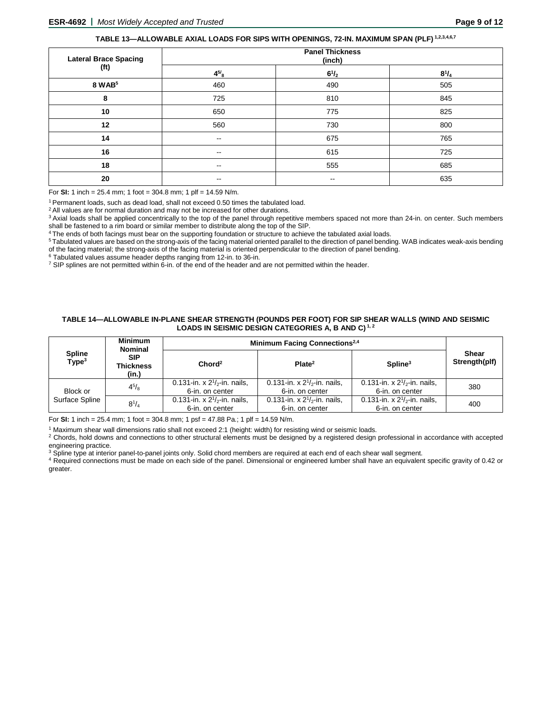# **TABLE 13—ALLOWABLE AXIAL LOADS FOR SIPS WITH OPENINGS, 72-IN. MAXIMUM SPAN (PLF) 1,2,3,4,6,7**

| <b>Lateral Brace Spacing</b> | <b>Panel Thickness</b><br>(inch) |              |              |  |
|------------------------------|----------------------------------|--------------|--------------|--|
| (f <sup>t</sup> )            | $4^{5/8}$                        | $6^{1}/_{2}$ | $8^{1}/_{4}$ |  |
| 8 WAB <sup>5</sup>           | 460                              | 490          | 505          |  |
| 8                            | 725                              | 810          | 845          |  |
| 10                           | 650                              | 775          | 825          |  |
| 12                           | 560                              | 730          | 800          |  |
| 14                           | $\sim$ $\sim$                    | 675          | 765          |  |
| 16                           | $\sim$ $\sim$                    | 615          | 725          |  |
| 18                           | $\sim$ $\sim$                    | 555          | 685          |  |
| 20                           | $\sim$ $\sim$                    | $- -$        | 635          |  |

For **SI:** 1 inch = 25.4 mm; 1 foot = 304.8 mm; 1 plf = 14.59 N/m.

1 Permanent loads, such as dead load, shall not exceed 0.50 times the tabulated load.

<sup>2</sup> All values are for normal duration and may not be increased for other durations.

<sup>3</sup> Axial loads shall be applied concentrically to the top of the panel through repetitive members spaced not more than 24-in. on center. Such members shall be fastened to a rim board or similar member to distribute along the top of the SIP.

4 The ends of both facings must bear on the supporting foundation or structure to achieve the tabulated axial loads.

<sup>5</sup> Tabulated values are based on the strong-axis of the facing material oriented parallel to the direction of panel bending. WAB indicates weak-axis bending of the facing material; the strong-axis of the facing material is oriented perpendicular to the direction of panel bending.<br><sup>6</sup> Tabulated values assume header depths ranging from 12-in. to 36-in.

 $^7$  SIP splines are not permitted within 6-in. of the end of the header and are not permitted within the header.

#### **TABLE 14—ALLOWABLE IN-PLANE SHEAR STRENGTH (POUNDS PER FOOT) FOR SIP SHEAR WALLS (WIND AND SEISMIC LOADS IN SEISMIC DESIGN CATEGORIES A, B AND C) 1, 2**

|                                    | <b>Minimum</b><br><b>Nominal</b> | Minimum Facing Connections <sup>2,4</sup>            |                                                      |                                                      |                               |
|------------------------------------|----------------------------------|------------------------------------------------------|------------------------------------------------------|------------------------------------------------------|-------------------------------|
| <b>Spline</b><br>Type <sup>3</sup> | <b>SIP</b><br>Thickness<br>(in.) | Chord <sup>2</sup>                                   | Plate <sup>2</sup>                                   | $S$ pline <sup>3</sup>                               | <b>Shear</b><br>Strength(plf) |
| Block or                           | $4^{5}/_{8}$                     | 0.131-in. x $2^{1}/2$ -in. nails,<br>6-in. on center | 0.131-in. x $2^{1}/2$ -in. nails.<br>6-in. on center | 0.131-in. x $2^{1}/2$ -in. nails,<br>6-in. on center | 380                           |
| Surface Spline                     | $8^{1}/_{4}$                     | 0.131-in. x $2^{1/2}$ -in. nails,<br>6-in. on center | 0.131-in. x $2^{1/2}$ -in. nails.<br>6-in. on center | 0.131-in. x $2^{1/2}$ -in. nails,<br>6-in. on center | 400                           |

For **SI:** 1 inch = 25.4 mm; 1 foot = 304.8 mm; 1 psf = 47.88 Pa.; 1 plf = 14.59 N/m.

<sup>1</sup> Maximum shear wall dimensions ratio shall not exceed 2:1 (height: width) for resisting wind or seismic loads.

<sup>2</sup> Chords, hold downs and connections to other structural elements must be designed by a registered design professional in accordance with accepted engineering practice.

<sup>3</sup> Spline type at interior panel-to-panel joints only. Solid chord members are required at each end of each shear wall segment.

<sup>4</sup> Required connections must be made on each side of the panel. Dimensional or engineered lumber shall have an equivalent specific gravity of 0.42 or greater.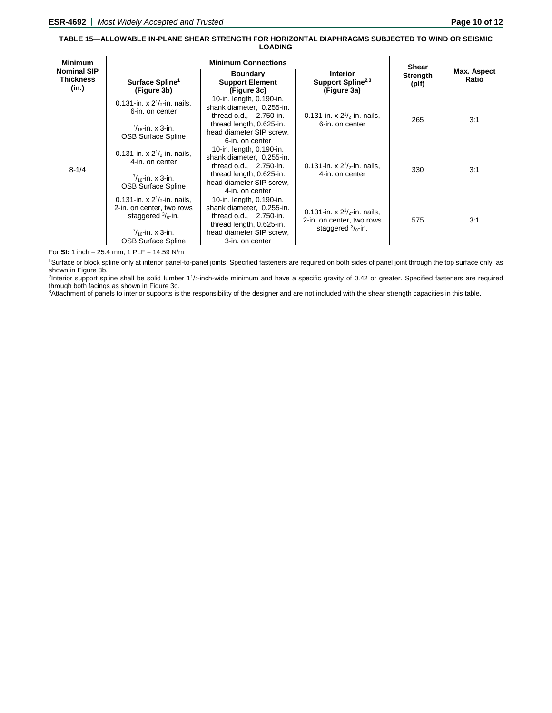### **TABLE 15—ALLOWABLE IN-PLANE SHEAR STRENGTH FOR HORIZONTAL DIAPHRAGMS SUBJECTED TO WIND OR SEISMIC LOADING**

| <b>Minimum</b>                                  |                                                                                                                                                            | <b>Shear</b>                                                                                                                                                 |                                                                                                |                          |                      |
|-------------------------------------------------|------------------------------------------------------------------------------------------------------------------------------------------------------------|--------------------------------------------------------------------------------------------------------------------------------------------------------------|------------------------------------------------------------------------------------------------|--------------------------|----------------------|
| <b>Nominal SIP</b><br><b>Thickness</b><br>(in.) | Surface Spline <sup>1</sup><br>(Figure 3b)                                                                                                                 | <b>Interior</b><br><b>Boundary</b><br>Support Spline <sup>2,3</sup><br><b>Support Element</b><br>(Figure 3c)<br>(Figure 3a)                                  |                                                                                                | <b>Strength</b><br>(plf) | Max. Aspect<br>Ratio |
| $8 - 1/4$                                       | 0.131-in. x $2^{1}/2$ -in. nails,<br>6-in. on center<br>$\frac{7}{16}$ -in. x 3-in.<br><b>OSB Surface Spline</b>                                           | 10-in. length, 0.190-in.<br>shank diameter, 0.255-in.<br>thread $o.d., 2.750-in.$<br>thread length, 0.625-in.<br>head diameter SIP screw.<br>6-in. on center | 0.131-in. x $2^{1}/2$ -in. nails,<br>6-in. on center                                           | 265                      | 3:1                  |
|                                                 | 0.131-in. x $2^{1}/2$ -in. nails,<br>4-in, on center<br>$\frac{7}{16}$ -in. x 3-in.<br><b>OSB Surface Spline</b>                                           | 10-in. length, 0.190-in.<br>shank diameter, 0.255-in.<br>thread o.d., 2.750-in.<br>thread length, 0.625-in.<br>head diameter SIP screw.<br>4-in, on center   | 0.131-in. x $2^{1}/2$ -in. nails,<br>4-in. on center                                           | 330                      | 3:1                  |
|                                                 | 0.131-in. x $2^{1/2}$ -in. nails,<br>2-in. on center, two rows<br>staggered $\frac{3}{8}$ -in.<br>$\frac{7}{16}$ -in. x 3-in.<br><b>OSB Surface Spline</b> | 10-in. length, 0.190-in.<br>shank diameter, 0.255-in.<br>thread $o.d., 2.750-in.$<br>thread length, 0.625-in.<br>head diameter SIP screw.<br>3-in, on center | 0.131-in. x $2^{1/2}$ -in. nails,<br>2-in. on center, two rows<br>staggered $\frac{3}{8}$ -in. | 575                      | 3:1                  |

For **SI:** 1 inch = 25.4 mm, 1 PLF = 14.59 N/m

1Surface or block spline only at interior panel-to-panel joints. Specified fasteners are required on both sides of panel joint through the top surface only, as shown in Figure 3b.

 ${}^{2}$ Interior support spline shall be solid lumber  $11/2$ -inch-wide minimum and have a specific gravity of 0.42 or greater. Specified fasteners are required through both facings as shown in Figure 3c.

3Attachment of panels to interior supports is the responsibility of the designer and are not included with the shear strength capacities in this table.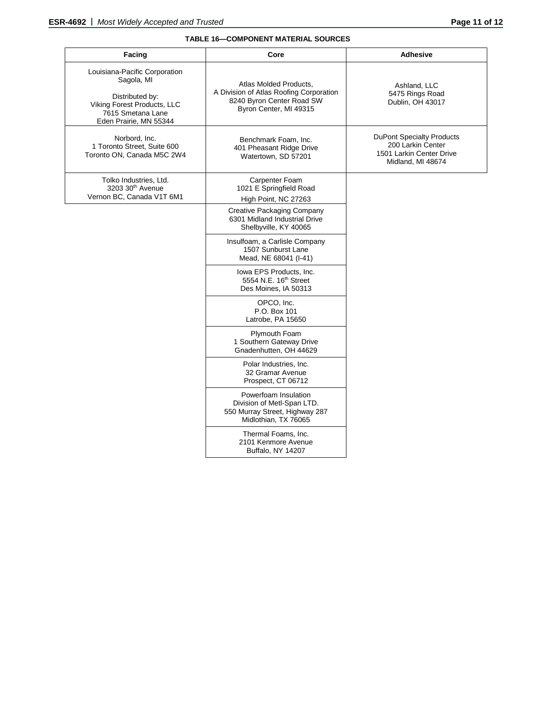# **TABLE 16—COMPONENT MATERIAL SOURCES**

| Facing                                                                                                                                       | Core                                                                                                                     | <b>Adhesive</b>                                                                                        |
|----------------------------------------------------------------------------------------------------------------------------------------------|--------------------------------------------------------------------------------------------------------------------------|--------------------------------------------------------------------------------------------------------|
| Louisiana-Pacific Corporation<br>Sagola, MI<br>Distributed by:<br>Viking Forest Products, LLC<br>7615 Smetana Lane<br>Eden Prairie, MN 55344 | Atlas Molded Products.<br>A Division of Atlas Roofing Corporation<br>8240 Byron Center Road SW<br>Byron Center, MI 49315 | Ashland, LLC<br>5475 Rings Road<br>Dublin, OH 43017                                                    |
| Norbord, Inc.<br>1 Toronto Street, Suite 600<br>Toronto ON, Canada M5C 2W4                                                                   | Benchmark Foam, Inc.<br>401 Pheasant Ridge Drive<br>Watertown, SD 57201                                                  | <b>DuPont Specialty Products</b><br>200 Larkin Center<br>1501 Larkin Center Drive<br>Midland, MI 48674 |
| Tolko Industries, Ltd.<br>3203 30 <sup>th</sup> Avenue<br>Vernon BC, Canada V1T 6M1                                                          | Carpenter Foam<br>1021 E Springfield Road<br>High Point, NC 27263                                                        |                                                                                                        |
|                                                                                                                                              | <b>Creative Packaging Company</b><br>6301 Midland Industrial Drive<br>Shelbyville, KY 40065                              |                                                                                                        |
|                                                                                                                                              | Insulfoam, a Carlisle Company<br>1507 Sunburst Lane<br>Mead, NE 68041 (I-41)                                             |                                                                                                        |
|                                                                                                                                              | lowa EPS Products, Inc.<br>5554 N.E. 16 <sup>th</sup> Street<br>Des Moines, IA 50313                                     |                                                                                                        |
|                                                                                                                                              | OPCO, Inc.<br>P.O. Box 101<br>Latrobe, PA 15650                                                                          |                                                                                                        |
|                                                                                                                                              | Plymouth Foam<br>1 Southern Gateway Drive<br>Gnadenhutten, OH 44629                                                      |                                                                                                        |
|                                                                                                                                              | Polar Industries, Inc.<br>32 Gramar Avenue<br>Prospect, CT 06712                                                         |                                                                                                        |
|                                                                                                                                              | Powerfoam Insulation<br>Division of Metl-Span LTD.<br>550 Murray Street, Highway 287<br>Midlothian, TX 76065             |                                                                                                        |
|                                                                                                                                              | Thermal Foams, Inc.<br>2101 Kenmore Avenue<br>Buffalo, NY 14207                                                          |                                                                                                        |